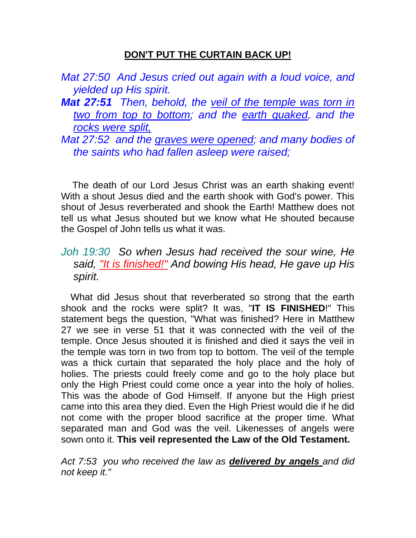## **DON'T PUT THE CURTAIN BACK UP!**

|                               | Mat 27:50 And Jesus cried out again with a loud voice, and |  |  |  |  |
|-------------------------------|------------------------------------------------------------|--|--|--|--|
| <i>yielded up His spirit.</i> |                                                            |  |  |  |  |

- *Mat 27:51 Then, behold, the veil of the temple was torn in two from top to bottom; and the earth quaked, and the rocks were split,*
- *Mat 27:52 and the graves were opened; and many bodies of the saints who had fallen asleep were raised;*

The death of our Lord Jesus Christ was an earth shaking event! With a shout Jesus died and the earth shook with God's power. This shout of Jesus reverberated and shook the Earth! Matthew does not tell us what Jesus shouted but we know what He shouted because the Gospel of John tells us what it was.

## *Joh 19:30 So when Jesus had received the sour wine, He said, "It is finished!" And bowing His head, He gave up His spirit.*

 What did Jesus shout that reverberated so strong that the earth shook and the rocks were split? It was, "**IT IS FINISHED**!" This statement begs the question, "What was finished? Here in Matthew 27 we see in verse 51 that it was connected with the veil of the temple. Once Jesus shouted it is finished and died it says the veil in the temple was torn in two from top to bottom. The veil of the temple was a thick curtain that separated the holy place and the holy of holies. The priests could freely come and go to the holy place but only the High Priest could come once a year into the holy of holies. This was the abode of God Himself. If anyone but the High priest came into this area they died. Even the High Priest would die if he did not come with the proper blood sacrifice at the proper time. What separated man and God was the veil. Likenesses of angels were sown onto it. **This veil represented the Law of the Old Testament.** 

*Act 7:53 you who received the law as delivered by angels and did not keep it."*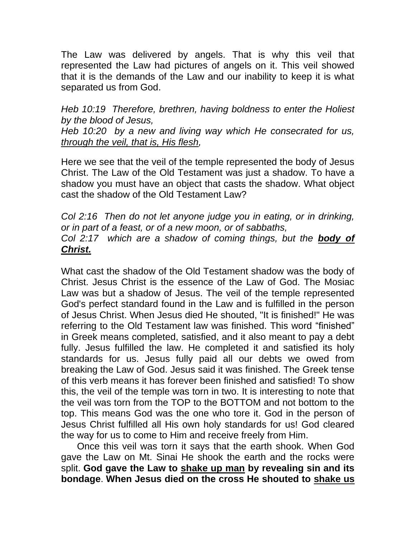The Law was delivered by angels. That is why this veil that represented the Law had pictures of angels on it. This veil showed that it is the demands of the Law and our inability to keep it is what separated us from God.

*Heb 10:19 Therefore, brethren, having boldness to enter the Holiest by the blood of Jesus,* 

*Heb 10:20 by a new and living way which He consecrated for us, through the veil, that is, His flesh,* 

Here we see that the veil of the temple represented the body of Jesus Christ. The Law of the Old Testament was just a shadow. To have a shadow you must have an object that casts the shadow. What object cast the shadow of the Old Testament Law?

*Col 2:16 Then do not let anyone judge you in eating, or in drinking, or in part of a feast, or of a new moon, or of sabbaths, Col 2:17 which are a shadow of coming things, but the body of Christ.*

What cast the shadow of the Old Testament shadow was the body of Christ. Jesus Christ is the essence of the Law of God. The Mosiac Law was but a shadow of Jesus. The veil of the temple represented God's perfect standard found in the Law and is fulfilled in the person of Jesus Christ. When Jesus died He shouted, "It is finished!" He was referring to the Old Testament law was finished. This word "finished" in Greek means completed, satisfied, and it also meant to pay a debt fully. Jesus fulfilled the law. He completed it and satisfied its holy standards for us. Jesus fully paid all our debts we owed from breaking the Law of God. Jesus said it was finished. The Greek tense of this verb means it has forever been finished and satisfied! To show this, the veil of the temple was torn in two. It is interesting to note that the veil was torn from the TOP to the BOTTOM and not bottom to the top. This means God was the one who tore it. God in the person of Jesus Christ fulfilled all His own holy standards for us! God cleared the way for us to come to Him and receive freely from Him.

 Once this veil was torn it says that the earth shook. When God gave the Law on Mt. Sinai He shook the earth and the rocks were split. **God gave the Law to shake up man by revealing sin and its bondage**. **When Jesus died on the cross He shouted to shake us**